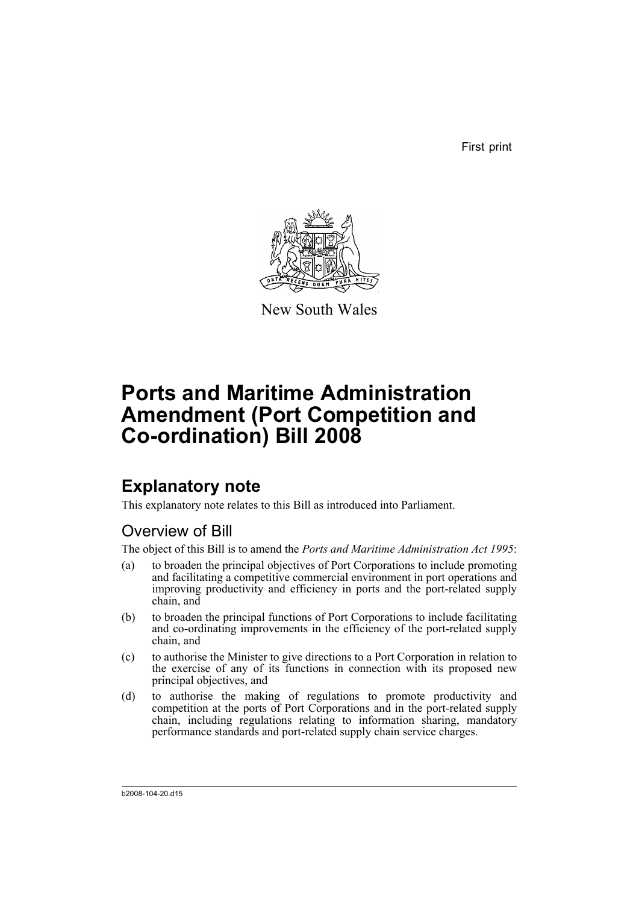First print



New South Wales

# **Ports and Maritime Administration Amendment (Port Competition and Co-ordination) Bill 2008**

# **Explanatory note**

This explanatory note relates to this Bill as introduced into Parliament.

# Overview of Bill

The object of this Bill is to amend the *Ports and Maritime Administration Act 1995*:

- (a) to broaden the principal objectives of Port Corporations to include promoting and facilitating a competitive commercial environment in port operations and improving productivity and efficiency in ports and the port-related supply chain, and
- (b) to broaden the principal functions of Port Corporations to include facilitating and co-ordinating improvements in the efficiency of the port-related supply chain, and
- (c) to authorise the Minister to give directions to a Port Corporation in relation to the exercise of any of its functions in connection with its proposed new principal objectives, and
- (d) to authorise the making of regulations to promote productivity and competition at the ports of Port Corporations and in the port-related supply chain, including regulations relating to information sharing, mandatory performance standards and port-related supply chain service charges.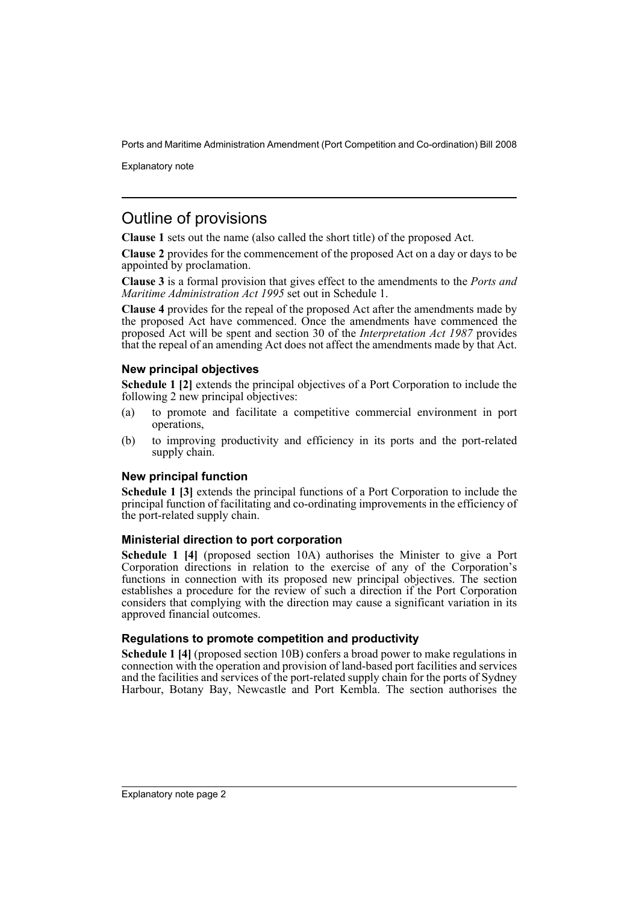Explanatory note

# Outline of provisions

**Clause 1** sets out the name (also called the short title) of the proposed Act.

**Clause 2** provides for the commencement of the proposed Act on a day or days to be appointed by proclamation.

**Clause 3** is a formal provision that gives effect to the amendments to the *Ports and Maritime Administration Act 1995* set out in Schedule 1.

**Clause 4** provides for the repeal of the proposed Act after the amendments made by the proposed Act have commenced. Once the amendments have commenced the proposed Act will be spent and section 30 of the *Interpretation Act 1987* provides that the repeal of an amending Act does not affect the amendments made by that Act.

# **New principal objectives**

**Schedule 1 [2]** extends the principal objectives of a Port Corporation to include the following 2 new principal objectives:

- (a) to promote and facilitate a competitive commercial environment in port operations,
- (b) to improving productivity and efficiency in its ports and the port-related supply chain.

# **New principal function**

**Schedule 1 [3]** extends the principal functions of a Port Corporation to include the principal function of facilitating and co-ordinating improvements in the efficiency of the port-related supply chain.

# **Ministerial direction to port corporation**

**Schedule 1 [4]** (proposed section 10A) authorises the Minister to give a Port Corporation directions in relation to the exercise of any of the Corporation's functions in connection with its proposed new principal objectives. The section establishes a procedure for the review of such a direction if the Port Corporation considers that complying with the direction may cause a significant variation in its approved financial outcomes.

# **Regulations to promote competition and productivity**

**Schedule 1 [4]** (proposed section 10B) confers a broad power to make regulations in connection with the operation and provision of land-based port facilities and services and the facilities and services of the port-related supply chain for the ports of Sydney Harbour, Botany Bay, Newcastle and Port Kembla. The section authorises the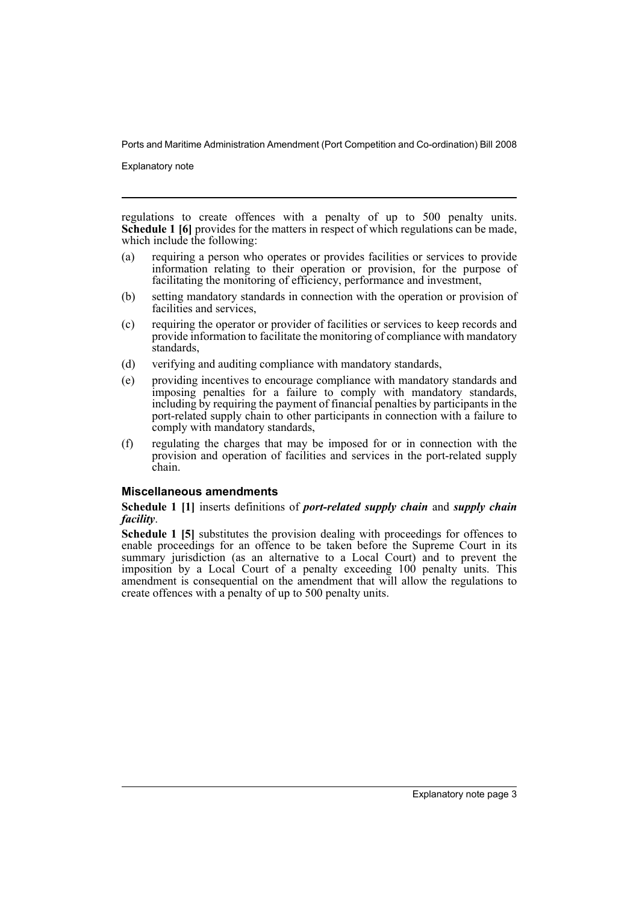Explanatory note

regulations to create offences with a penalty of up to 500 penalty units. **Schedule 1 [6]** provides for the matters in respect of which regulations can be made, which include the following:

- (a) requiring a person who operates or provides facilities or services to provide information relating to their operation or provision, for the purpose of facilitating the monitoring of efficiency, performance and investment,
- (b) setting mandatory standards in connection with the operation or provision of facilities and services,
- (c) requiring the operator or provider of facilities or services to keep records and provide information to facilitate the monitoring of compliance with mandatory standards,
- (d) verifying and auditing compliance with mandatory standards,
- (e) providing incentives to encourage compliance with mandatory standards and imposing penalties for a failure to comply with mandatory standards, including by requiring the payment of financial penalties by participants in the port-related supply chain to other participants in connection with a failure to comply with mandatory standards,
- (f) regulating the charges that may be imposed for or in connection with the provision and operation of facilities and services in the port-related supply chain.

### **Miscellaneous amendments**

### **Schedule 1 [1]** inserts definitions of *port-related supply chain* and *supply chain facility*.

**Schedule 1 [5]** substitutes the provision dealing with proceedings for offences to enable proceedings for an offence to be taken before the Supreme Court in its summary jurisdiction (as an alternative to a Local Court) and to prevent the imposition by a Local Court of a penalty exceeding 100 penalty units. This amendment is consequential on the amendment that will allow the regulations to create offences with a penalty of up to 500 penalty units.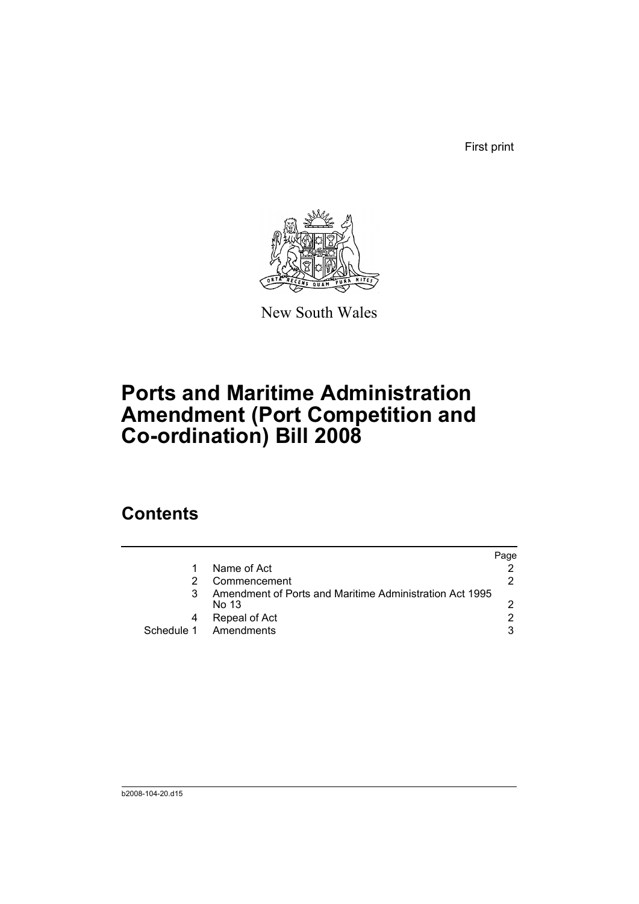First print



New South Wales

# **Ports and Maritime Administration Amendment (Port Competition and Co-ordination) Bill 2008**

# **Contents**

|                                                                  | Page          |
|------------------------------------------------------------------|---------------|
| Name of Act                                                      |               |
| Commencement                                                     | 2             |
| Amendment of Ports and Maritime Administration Act 1995<br>No 13 |               |
| Repeal of Act                                                    | $\mathcal{P}$ |
| Schedule 1 Amendments                                            | 3             |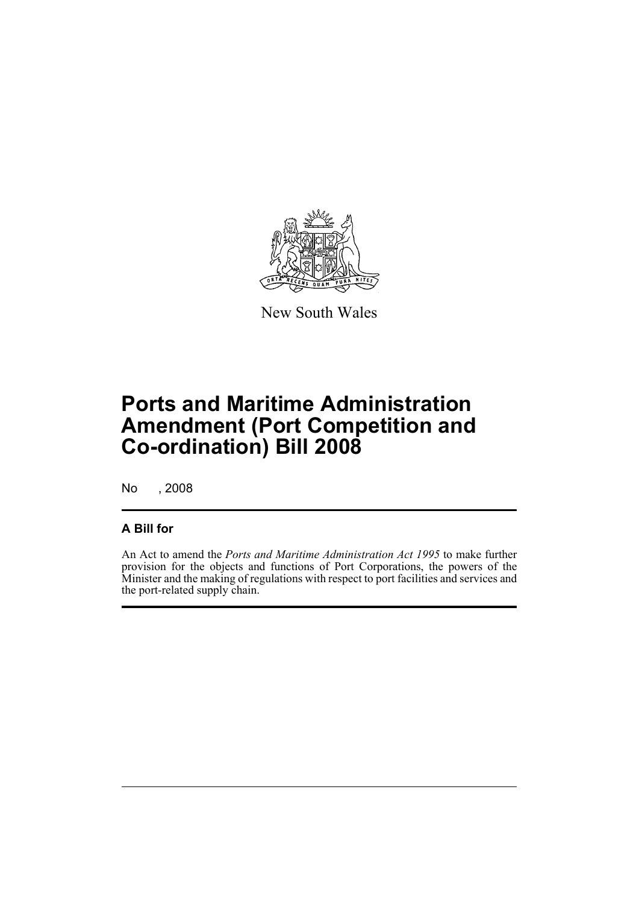

New South Wales

# **Ports and Maritime Administration Amendment (Port Competition and Co-ordination) Bill 2008**

No , 2008

# **A Bill for**

An Act to amend the *Ports and Maritime Administration Act 1995* to make further provision for the objects and functions of Port Corporations, the powers of the Minister and the making of regulations with respect to port facilities and services and the port-related supply chain.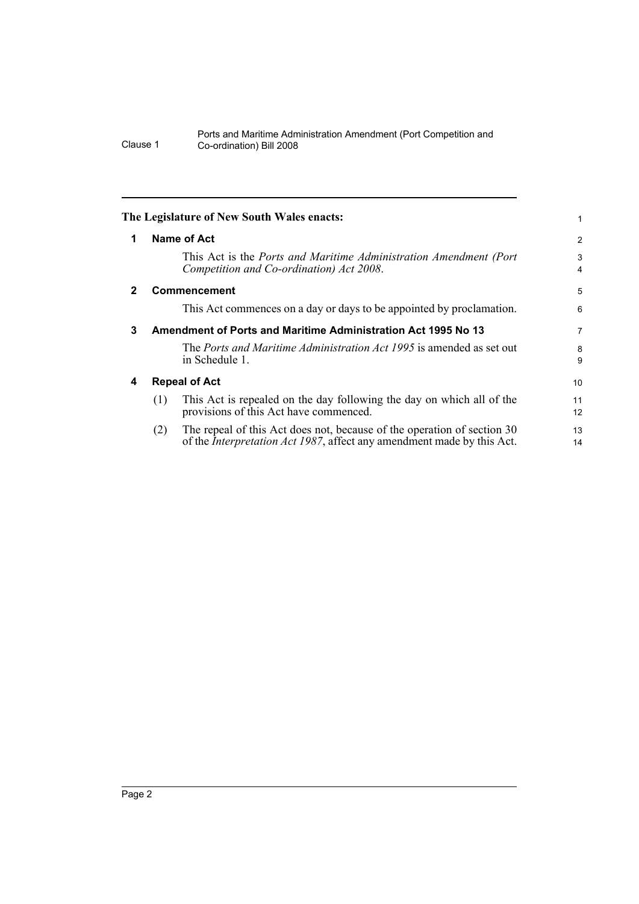<span id="page-7-3"></span><span id="page-7-2"></span><span id="page-7-1"></span><span id="page-7-0"></span>

|              | The Legislature of New South Wales enacts:                                                                                                                       | 1              |  |
|--------------|------------------------------------------------------------------------------------------------------------------------------------------------------------------|----------------|--|
| 1            | Name of Act                                                                                                                                                      | $\overline{2}$ |  |
|              | This Act is the Ports and Maritime Administration Amendment (Port<br>Competition and Co-ordination) Act 2008.                                                    | 3<br>4         |  |
| $\mathbf{2}$ | <b>Commencement</b>                                                                                                                                              |                |  |
|              | This Act commences on a day or days to be appointed by proclamation.                                                                                             | 6              |  |
| 3            | Amendment of Ports and Maritime Administration Act 1995 No 13                                                                                                    |                |  |
|              | The <i>Ports and Maritime Administration Act 1995</i> is amended as set out<br>in Schedule 1.                                                                    | 8<br>9         |  |
| 4            | <b>Repeal of Act</b>                                                                                                                                             |                |  |
|              | This Act is repealed on the day following the day on which all of the<br>(1)<br>provisions of this Act have commenced.                                           | 11<br>12       |  |
|              | The repeal of this Act does not, because of the operation of section 30<br>(2)<br>of the <i>Interpretation Act 1987</i> , affect any amendment made by this Act. | 13<br>14       |  |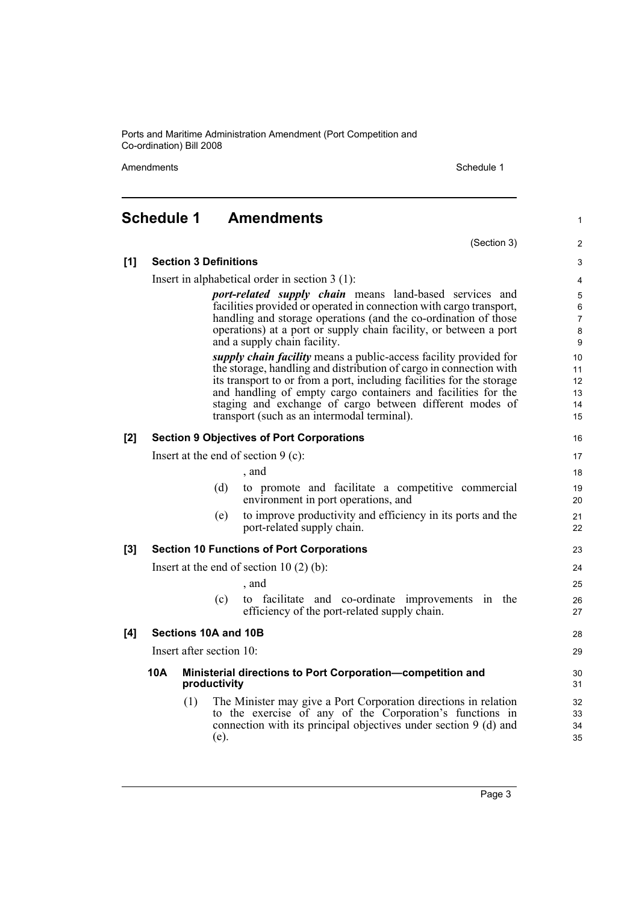Amendments Schedule 1

(Section 3)

1

2

# <span id="page-8-0"></span>**Schedule 1 Amendments**

| [1]                      | <b>Section 3 Definitions</b>                                                                                                                                                                                                                                                                                                                                                                        |                                                                            |      |                                                                                                                                                                                                 | 3                    |  |
|--------------------------|-----------------------------------------------------------------------------------------------------------------------------------------------------------------------------------------------------------------------------------------------------------------------------------------------------------------------------------------------------------------------------------------------------|----------------------------------------------------------------------------|------|-------------------------------------------------------------------------------------------------------------------------------------------------------------------------------------------------|----------------------|--|
|                          |                                                                                                                                                                                                                                                                                                                                                                                                     |                                                                            |      | Insert in alphabetical order in section $3(1)$ :                                                                                                                                                | 4                    |  |
|                          | port-related supply chain means land-based services and<br>facilities provided or operated in connection with cargo transport,<br>handling and storage operations (and the co-ordination of those<br>operations) at a port or supply chain facility, or between a port<br>and a supply chain facility.                                                                                              |                                                                            |      |                                                                                                                                                                                                 |                      |  |
|                          | <i>supply chain facility</i> means a public-access facility provided for<br>the storage, handling and distribution of cargo in connection with<br>its transport to or from a port, including facilities for the storage<br>and handling of empty cargo containers and facilities for the<br>staging and exchange of cargo between different modes of<br>transport (such as an intermodal terminal). |                                                                            |      |                                                                                                                                                                                                 |                      |  |
| [2]                      | <b>Section 9 Objectives of Port Corporations</b>                                                                                                                                                                                                                                                                                                                                                    |                                                                            |      |                                                                                                                                                                                                 |                      |  |
|                          |                                                                                                                                                                                                                                                                                                                                                                                                     |                                                                            |      | Insert at the end of section $9$ (c):                                                                                                                                                           | 17                   |  |
|                          |                                                                                                                                                                                                                                                                                                                                                                                                     |                                                                            |      | , and                                                                                                                                                                                           | 18                   |  |
|                          |                                                                                                                                                                                                                                                                                                                                                                                                     |                                                                            | (d)  | to promote and facilitate a competitive commercial<br>environment in port operations, and                                                                                                       | 19<br>20             |  |
|                          |                                                                                                                                                                                                                                                                                                                                                                                                     |                                                                            | (e)  | to improve productivity and efficiency in its ports and the<br>port-related supply chain.                                                                                                       | 21<br>22             |  |
| [3]                      |                                                                                                                                                                                                                                                                                                                                                                                                     |                                                                            |      | <b>Section 10 Functions of Port Corporations</b>                                                                                                                                                | 23                   |  |
|                          | Insert at the end of section $10(2)(b)$ :                                                                                                                                                                                                                                                                                                                                                           |                                                                            |      |                                                                                                                                                                                                 | 24                   |  |
|                          |                                                                                                                                                                                                                                                                                                                                                                                                     |                                                                            |      | , and                                                                                                                                                                                           | 25                   |  |
|                          |                                                                                                                                                                                                                                                                                                                                                                                                     |                                                                            | (c)  | to facilitate and co-ordinate improvements in the<br>efficiency of the port-related supply chain.                                                                                               | 26<br>27             |  |
| [4]                      |                                                                                                                                                                                                                                                                                                                                                                                                     | Sections 10A and 10B                                                       |      |                                                                                                                                                                                                 | 28                   |  |
| Insert after section 10: |                                                                                                                                                                                                                                                                                                                                                                                                     |                                                                            |      |                                                                                                                                                                                                 | 29                   |  |
|                          | 10A                                                                                                                                                                                                                                                                                                                                                                                                 | Ministerial directions to Port Corporation-competition and<br>productivity |      |                                                                                                                                                                                                 | 30<br>31             |  |
|                          |                                                                                                                                                                                                                                                                                                                                                                                                     | (1)                                                                        | (e). | The Minister may give a Port Corporation directions in relation<br>to the exercise of any of the Corporation's functions in<br>connection with its principal objectives under section 9 (d) and | 32<br>33<br>34<br>35 |  |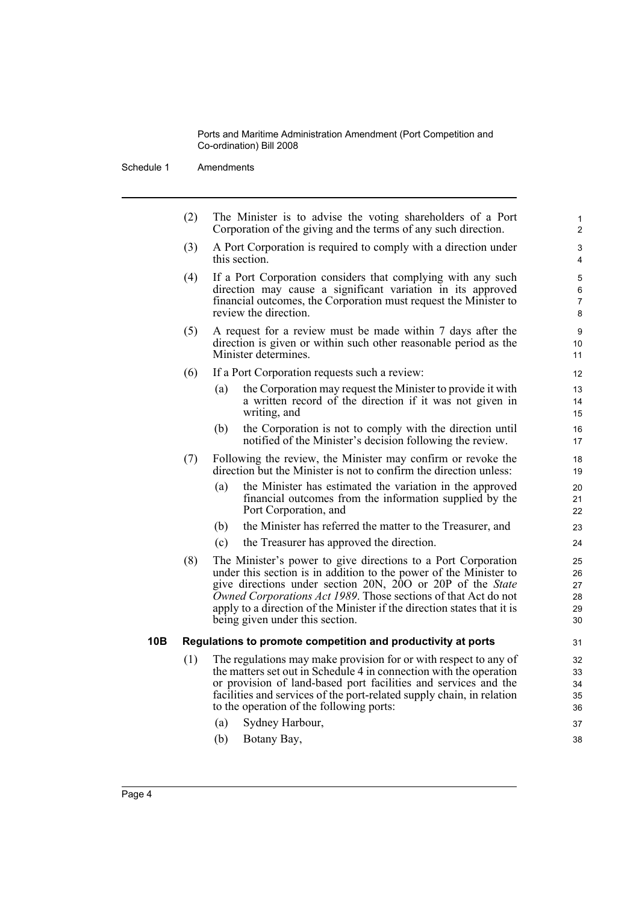Schedule 1 Amendments

(2) The Minister is to advise the voting shareholders of a Port Corporation of the giving and the terms of any such direction. (3) A Port Corporation is required to comply with a direction under this section. (4) If a Port Corporation considers that complying with any such direction may cause a significant variation in its approved financial outcomes, the Corporation must request the Minister to review the direction. (5) A request for a review must be made within 7 days after the direction is given or within such other reasonable period as the Minister determines. (6) If a Port Corporation requests such a review: (a) the Corporation may request the Minister to provide it with a written record of the direction if it was not given in writing, and (b) the Corporation is not to comply with the direction until notified of the Minister's decision following the review. (7) Following the review, the Minister may confirm or revoke the direction but the Minister is not to confirm the direction unless: (a) the Minister has estimated the variation in the approved financial outcomes from the information supplied by the Port Corporation, and 10 11 12 13 14 15 16 17 18 19  $20$ 21 22

- (b) the Minister has referred the matter to the Treasurer, and
- (c) the Treasurer has approved the direction.
- (8) The Minister's power to give directions to a Port Corporation under this section is in addition to the power of the Minister to give directions under section 20N, 20O or 20P of the *State Owned Corporations Act 1989*. Those sections of that Act do not apply to a direction of the Minister if the direction states that it is being given under this section.

### **10B Regulations to promote competition and productivity at ports**

- (1) The regulations may make provision for or with respect to any of the matters set out in Schedule 4 in connection with the operation or provision of land-based port facilities and services and the facilities and services of the port-related supply chain, in relation to the operation of the following ports:
	- (a) Sydney Harbour,
	- (b) Botany Bay,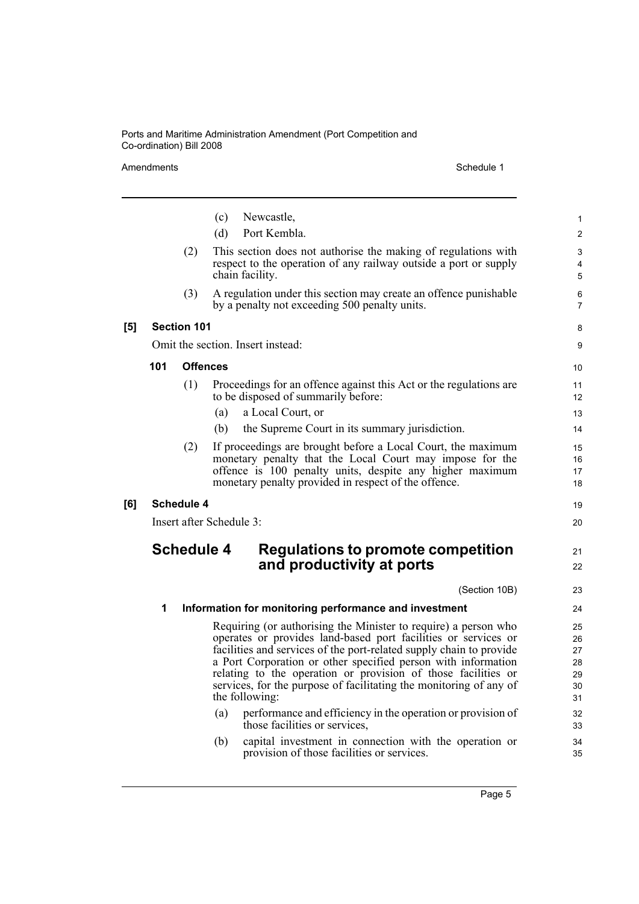| Amendments |                   |                    |                          | Schedule 1                                                                                                                                                                                                                                                                                                                                                                                                                         |                                        |
|------------|-------------------|--------------------|--------------------------|------------------------------------------------------------------------------------------------------------------------------------------------------------------------------------------------------------------------------------------------------------------------------------------------------------------------------------------------------------------------------------------------------------------------------------|----------------------------------------|
|            |                   |                    | (c)<br>(d)               | Newcastle,<br>Port Kembla.                                                                                                                                                                                                                                                                                                                                                                                                         | $\mathbf{1}$<br>2                      |
|            |                   | (2)                |                          | This section does not authorise the making of regulations with<br>respect to the operation of any railway outside a port or supply<br>chain facility.                                                                                                                                                                                                                                                                              | 3<br>$\overline{4}$<br>5               |
|            |                   | (3)                |                          | A regulation under this section may create an offence punishable<br>by a penalty not exceeding 500 penalty units.                                                                                                                                                                                                                                                                                                                  | 6<br>7                                 |
| [5]        |                   | <b>Section 101</b> |                          |                                                                                                                                                                                                                                                                                                                                                                                                                                    | 8                                      |
|            |                   |                    |                          | Omit the section. Insert instead:                                                                                                                                                                                                                                                                                                                                                                                                  | 9                                      |
|            | 101               |                    | <b>Offences</b>          |                                                                                                                                                                                                                                                                                                                                                                                                                                    | 10                                     |
|            |                   | (1)                |                          | Proceedings for an offence against this Act or the regulations are<br>to be disposed of summarily before:                                                                                                                                                                                                                                                                                                                          | 11<br>$12 \overline{ }$                |
|            |                   |                    | (a)                      | a Local Court, or                                                                                                                                                                                                                                                                                                                                                                                                                  | 13                                     |
|            |                   |                    | (b)                      | the Supreme Court in its summary jurisdiction.                                                                                                                                                                                                                                                                                                                                                                                     | 14                                     |
|            |                   | (2)                |                          | If proceedings are brought before a Local Court, the maximum<br>monetary penalty that the Local Court may impose for the<br>offence is 100 penalty units, despite any higher maximum<br>monetary penalty provided in respect of the offence.                                                                                                                                                                                       | 15<br>16<br>17<br>18                   |
| [6]        | <b>Schedule 4</b> |                    |                          |                                                                                                                                                                                                                                                                                                                                                                                                                                    |                                        |
|            |                   |                    | Insert after Schedule 3: |                                                                                                                                                                                                                                                                                                                                                                                                                                    | 20                                     |
|            |                   | <b>Schedule 4</b>  |                          | <b>Regulations to promote competition</b><br>and productivity at ports                                                                                                                                                                                                                                                                                                                                                             | 21<br>22                               |
|            |                   |                    |                          | (Section 10B)                                                                                                                                                                                                                                                                                                                                                                                                                      | 23                                     |
|            | 1                 |                    |                          | Information for monitoring performance and investment                                                                                                                                                                                                                                                                                                                                                                              | 24                                     |
|            |                   |                    |                          | Requiring (or authorising the Minister to require) a person who<br>operates or provides land-based port facilities or services or<br>facilities and services of the port-related supply chain to provide<br>a Port Corporation or other specified person with information<br>relating to the operation or provision of those facilities or<br>services, for the purpose of facilitating the monitoring of any of<br>the following: | 25<br>26<br>27<br>28<br>29<br>30<br>31 |
|            |                   |                    | (a)                      | performance and efficiency in the operation or provision of<br>those facilities or services,                                                                                                                                                                                                                                                                                                                                       | 32<br>33                               |
|            |                   |                    | (b)                      | capital investment in connection with the operation or<br>provision of those facilities or services.                                                                                                                                                                                                                                                                                                                               | 34<br>35                               |

Page 5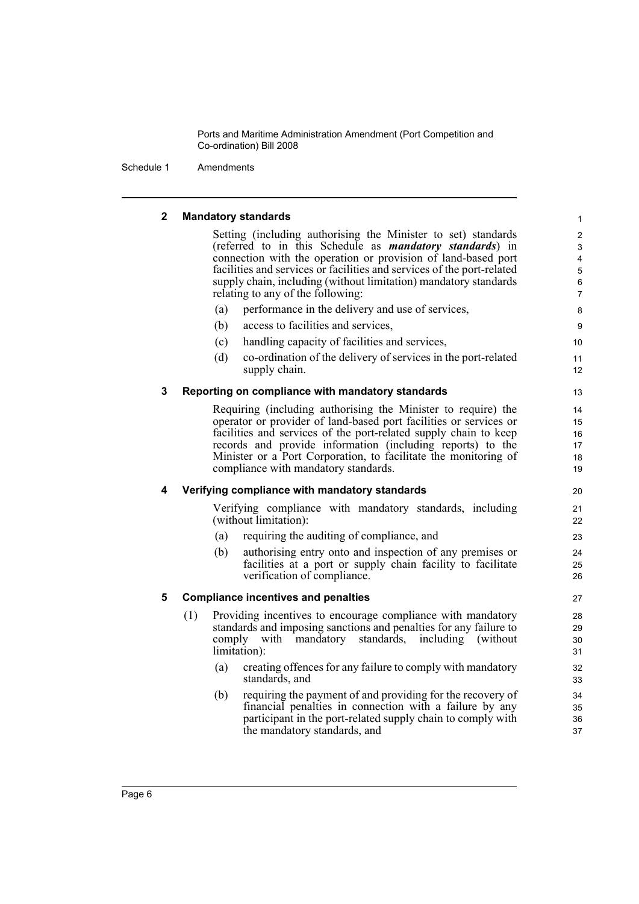Schedule 1 Amendments

## **2 Mandatory standards**

Setting (including authorising the Minister to set) standards (referred to in this Schedule as *mandatory standards*) in connection with the operation or provision of land-based port facilities and services or facilities and services of the port-related supply chain, including (without limitation) mandatory standards relating to any of the following:

- (a) performance in the delivery and use of services,
- (b) access to facilities and services,
- (c) handling capacity of facilities and services,
- (d) co-ordination of the delivery of services in the port-related supply chain.

### **3 Reporting on compliance with mandatory standards**

Requiring (including authorising the Minister to require) the operator or provider of land-based port facilities or services or facilities and services of the port-related supply chain to keep records and provide information (including reports) to the Minister or a Port Corporation, to facilitate the monitoring of compliance with mandatory standards.

### **4 Verifying compliance with mandatory standards**

Verifying compliance with mandatory standards, including (without limitation):

- (a) requiring the auditing of compliance, and
- (b) authorising entry onto and inspection of any premises or facilities at a port or supply chain facility to facilitate verification of compliance.

### **5 Compliance incentives and penalties**

- (1) Providing incentives to encourage compliance with mandatory standards and imposing sanctions and penalties for any failure to comply with mandatory standards, including (without limitation):
	- (a) creating offences for any failure to comply with mandatory standards, and
	- (b) requiring the payment of and providing for the recovery of financial penalties in connection with a failure by any participant in the port-related supply chain to comply with the mandatory standards, and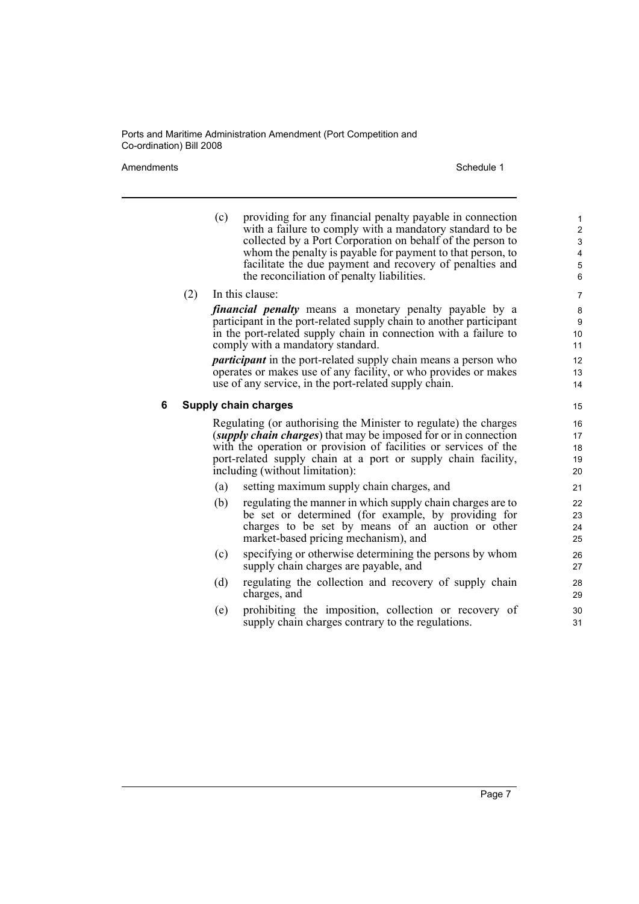#### Amendments **Schedule 1** Schedule 1

(c) providing for any financial penalty payable in connection with a failure to comply with a mandatory standard to be collected by a Port Corporation on behalf of the person to whom the penalty is payable for payment to that person, to facilitate the due payment and recovery of penalties and the reconciliation of penalty liabilities.

### (2) In this clause:

*financial penalty* means a monetary penalty payable by a participant in the port-related supply chain to another participant in the port-related supply chain in connection with a failure to comply with a mandatory standard.

*participant* in the port-related supply chain means a person who operates or makes use of any facility, or who provides or makes use of any service, in the port-related supply chain.

### **6 Supply chain charges**

Regulating (or authorising the Minister to regulate) the charges (*supply chain charges*) that may be imposed for or in connection with the operation or provision of facilities or services of the port-related supply chain at a port or supply chain facility, including (without limitation):

- (a) setting maximum supply chain charges, and
- (b) regulating the manner in which supply chain charges are to be set or determined (for example, by providing for charges to be set by means of an auction or other market-based pricing mechanism), and
- (c) specifying or otherwise determining the persons by whom supply chain charges are payable, and
- (d) regulating the collection and recovery of supply chain charges, and
- (e) prohibiting the imposition, collection or recovery of supply chain charges contrary to the regulations.